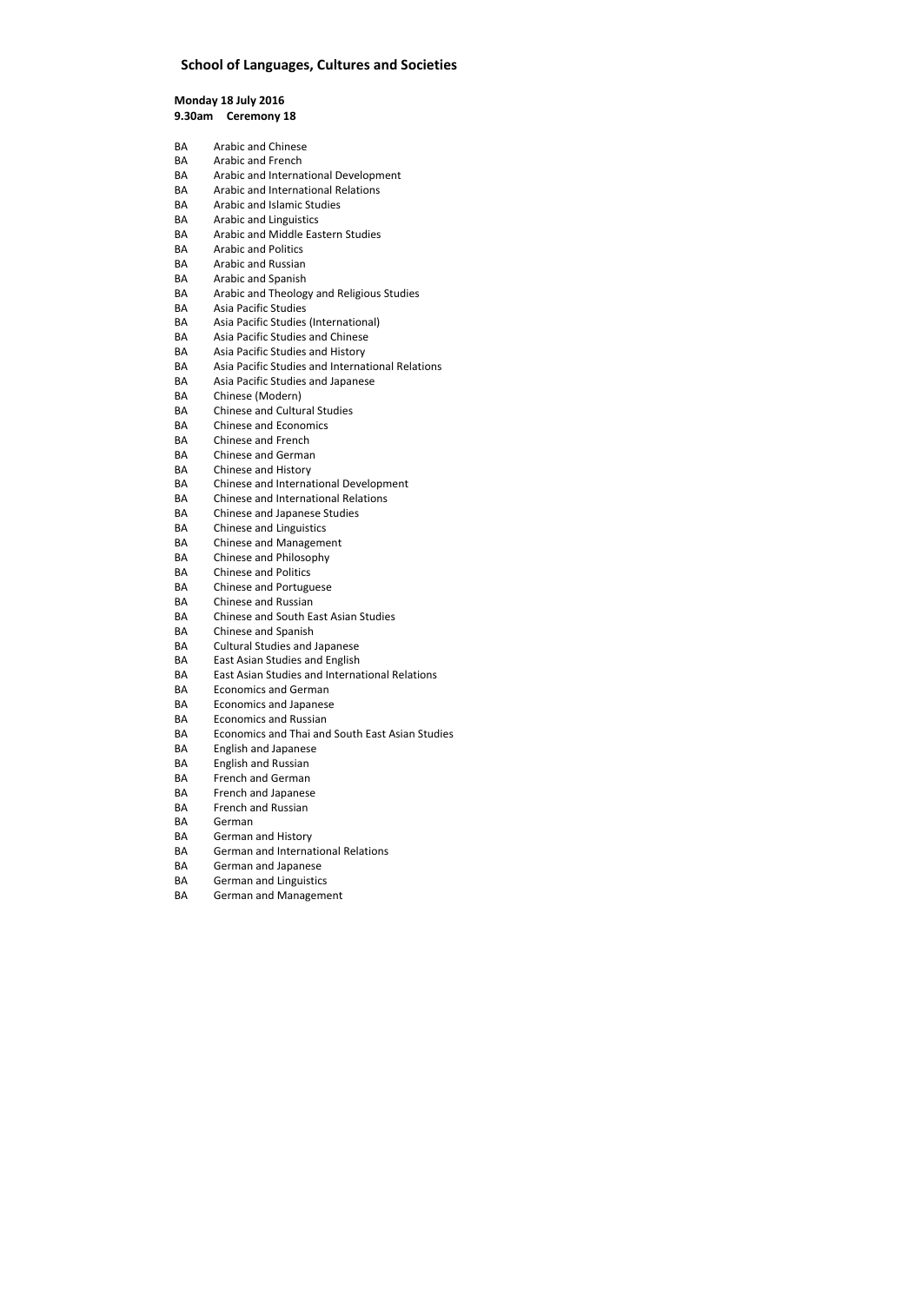# **School of Languages, Cultures and Societies**

**Monday 18 July 2016 9.30am Ceremony 18** 

| BA        | Arabic and Chinese                                     |
|-----------|--------------------------------------------------------|
| BА        | Arabic and French                                      |
| BA        | Arabic and International Development                   |
| BA        | Arabic and International Relations                     |
| BA        | Arabic and Islamic Studies                             |
| BA        | <b>Arabic and Linguistics</b>                          |
| BA        | Arabic and Middle Eastern Studies                      |
| <b>BA</b> | <b>Arabic and Politics</b>                             |
| BA        | Arabic and Russian                                     |
| BA        | Arabic and Spanish                                     |
| BA        | Arabic and Theology and Religious Studies              |
| BA        | Asia Pacific Studies                                   |
| BA        | Asia Pacific Studies (International)                   |
| BA        | Asia Pacific Studies and Chinese                       |
| BA        | Asia Pacific Studies and History                       |
| <b>BA</b> | Asia Pacific Studies and International Relations       |
| BA        | Asia Pacific Studies and Japanese                      |
| BA        | Chinese (Modern)                                       |
| BA        | <b>Chinese and Cultural Studies</b>                    |
| BA        | <b>Chinese and Economics</b>                           |
| BA        | Chinese and French                                     |
| BA        | <b>Chinese and German</b>                              |
| BA        | Chinese and History                                    |
| BA        | Chinese and International Development                  |
| BA        | <b>Chinese and International Relations</b>             |
| BA        | <b>Chinese and Japanese Studies</b>                    |
| BA        | <b>Chinese and Linguistics</b>                         |
| BA        | <b>Chinese and Management</b>                          |
| BA        | Chinese and Philosophy                                 |
| BA        | <b>Chinese and Politics</b>                            |
| BA        | <b>Chinese and Portuguese</b>                          |
| BА        | <b>Chinese and Russian</b>                             |
| BA        | Chinese and South East Asian Studies                   |
| BА        | Chinese and Spanish                                    |
| BA        | <b>Cultural Studies and Japanese</b>                   |
| BA        | East Asian Studies and English                         |
| BA        | <b>East Asian Studies and International Relations</b>  |
| BA        | <b>Economics and German</b>                            |
| BA        | <b>Economics and Japanese</b>                          |
| BA        | <b>Economics and Russian</b>                           |
| <b>BA</b> | <b>Economics and Thai and South East Asian Studies</b> |
| BA        | <b>English and Japanese</b>                            |
| BA        | <b>English and Russian</b>                             |
| BA        | <b>French and German</b>                               |
| BA        | French and Japanese                                    |
| BA        | <b>French and Russian</b>                              |
| BA        | German                                                 |
| BA        | German and History                                     |
| BA        | <b>German and International Relations</b>              |
| BA        | German and Japanese                                    |
| BA        | <b>German and Linguistics</b>                          |
| ВA        | German and Management                                  |
|           |                                                        |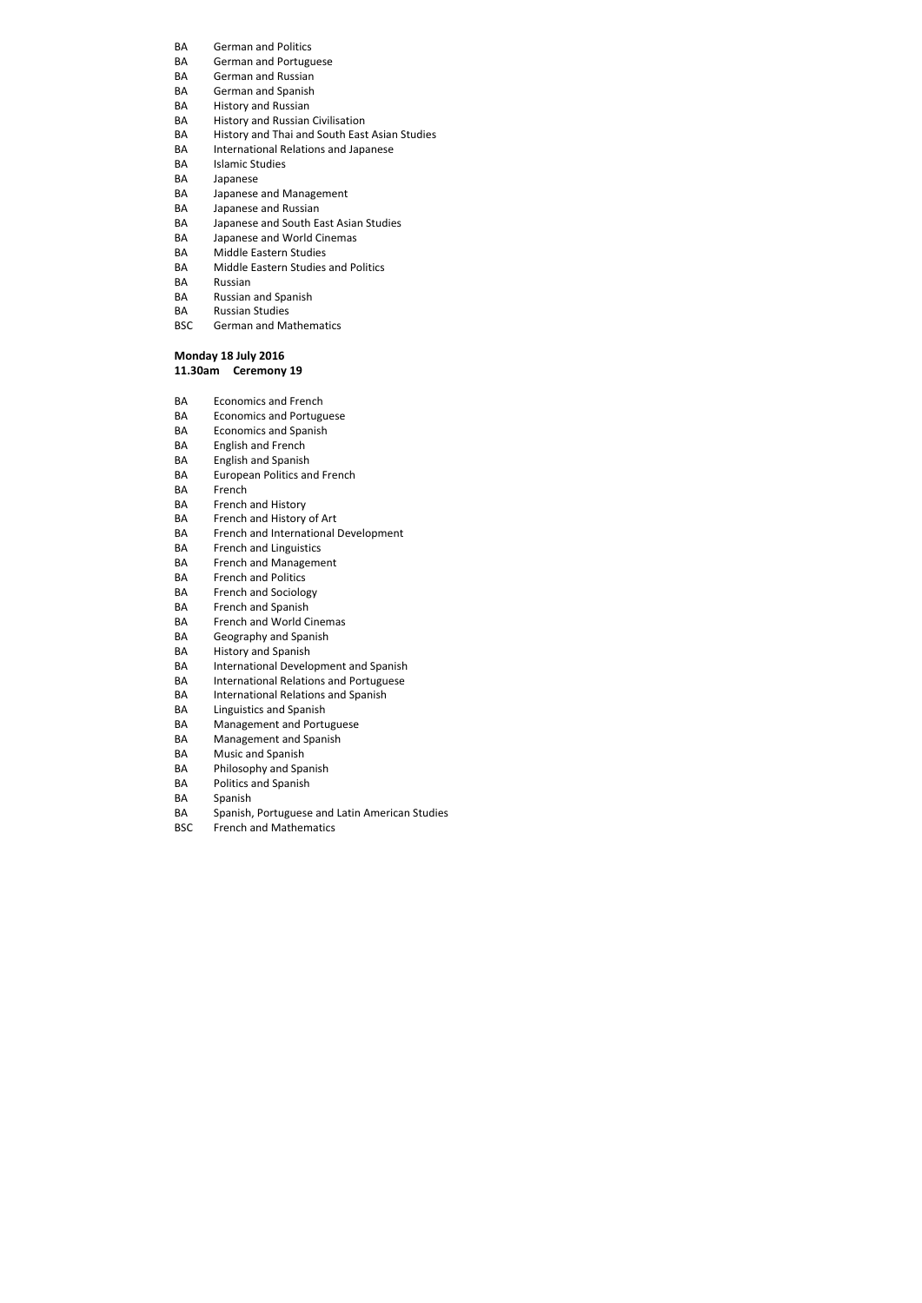- BA German and Politics
- BA German and Portuguese
- BA German and Russian
- BA German and Spanish
- BA History and Russian
- BA History and Russian Civilisation
- BA History and Thai and South East Asian Studies
- BA International Relations and Japanese
- BA Islamic Studies
- BA Japanese
- BA Japanese and Management
- BA Japanese and Russian
- BA Japanese and South East Asian Studies
- BA Japanese and World Cinemas
- BA Middle Eastern Studies
- BA Middle Eastern Studies and Politics
- BA Russian
- BA Russian and Spanish
- BA Russian Studies
- BSC German and Mathematics

## **Monday 18 July 2016**

## **11.30am Ceremony 19**

- BA Economics and French
- BA Economics and Portuguese
- BA Economics and Spanish
- BA English and French
- BA English and Spanish
- BA European Politics and French
- BA French
- BA French and History
- BA French and History of Art
- BA French and International Development
- BA French and Linguistics
- BA French and Management
- BA French and Politics
- BA French and Sociology
- BA French and Spanish
- BA French and World Cinemas
- BA Geography and Spanish
- BA History and Spanish
- BA International Development and Spanish
- BA International Relations and Portuguese
- BA International Relations and Spanish
- BA Linguistics and Spanish
- BA Management and Portuguese
- BA Management and Spanish
- BA Music and Spanish
- BA Philosophy and Spanish
- BA Politics and Spanish
- BA Spanish
- BA Spanish, Portuguese and Latin American Studies
- BSC French and Mathematics